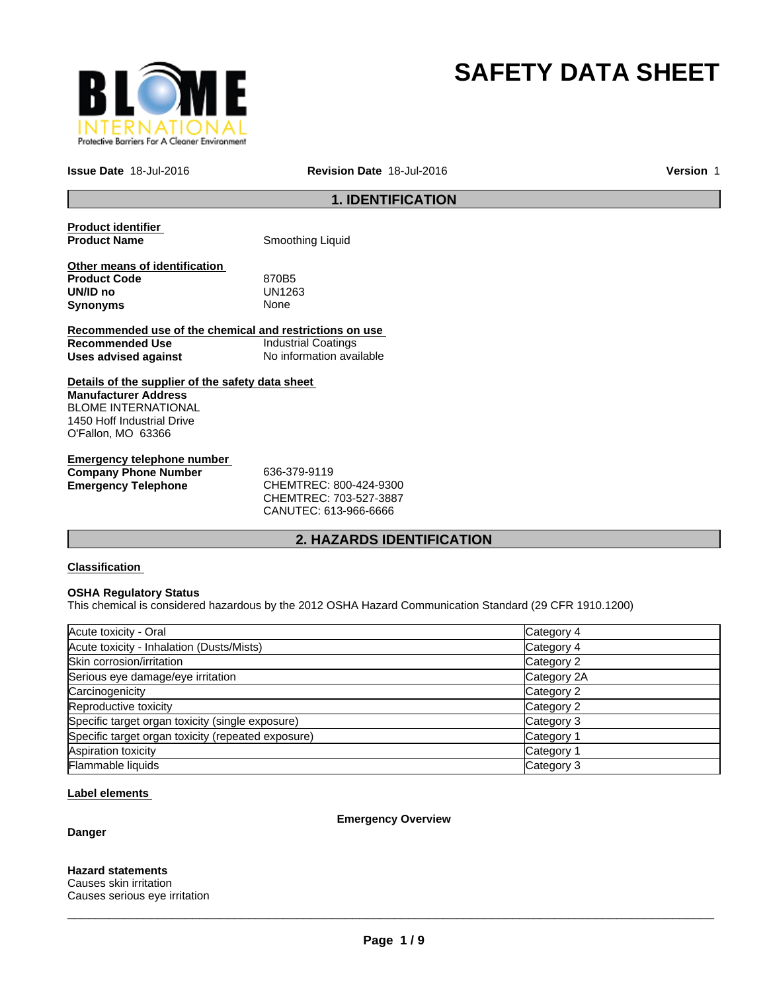

# **SAFETY DATA SHEET**

**Issue Date** 18-Jul-2016

**Revision Date** 18-Jul-2016

**Version** 1

# **1. IDENTIFICATION**

**Product identifier** 

**Smoothing Liquid** 

**Other means of identification Product Code 670B5**<br> **UN/ID no** UN1263 **UN/ID no** UN12<br>**Synonyms** None **Synonyms** 

**Recommended use of the chemical and restrictions on use Recommended Use** Industrial Coatings **Uses advised against** No information available

**Details of the supplier of the safety data sheet Manufacturer Address** BLOME INTERNATIONAL 1450 Hoff Industrial Drive O'Fallon, MO 63366

**Emergency telephone number Company Phone Number** 636-379-9119 **Emergency Telephone** CHEMTREC: 800-424-9300

CHEMTREC: 703-527-3887 CANUTEC: 613-966-6666

# **2. HAZARDS IDENTIFICATION**

# **Classification**

# **OSHA Regulatory Status**

This chemical is considered hazardous by the 2012 OSHA Hazard Communication Standard (29 CFR 1910.1200)

| Acute toxicity - Oral                              | Category 4  |
|----------------------------------------------------|-------------|
| Acute toxicity - Inhalation (Dusts/Mists)          | Category 4  |
| Skin corrosion/irritation                          | Category 2  |
| Serious eye damage/eye irritation                  | Category 2A |
| Carcinogenicity                                    | Category 2  |
| Reproductive toxicity                              | Category 2  |
| Specific target organ toxicity (single exposure)   | Category 3  |
| Specific target organ toxicity (repeated exposure) | Category 1  |
| Aspiration toxicity                                | Category 1  |
| Flammable liquids                                  | Category 3  |

#### **Label elements**

**Danger**

**Emergency Overview**

**Hazard statements** Causes skin irritation

Causes serious eye irritation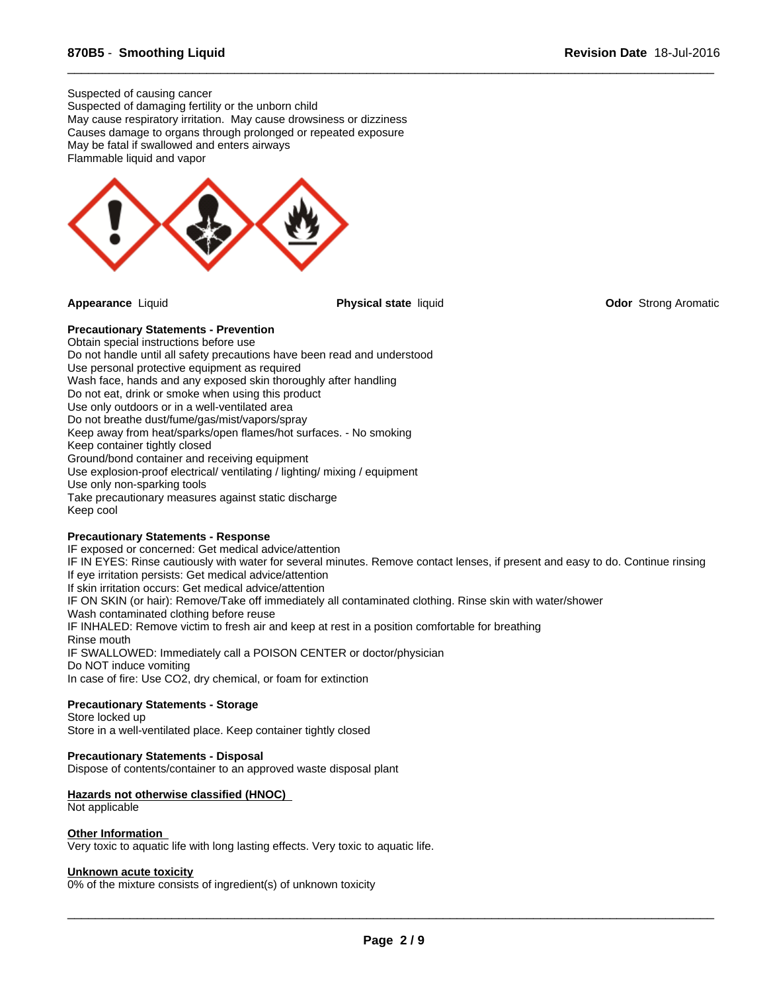Flammable liquid and vapor Suspected of causing cancer Suspected of damaging fertility or the unborn child May cause respiratory irritation. May cause drowsiness or dizziness Causes damage to organs through prolonged or repeated exposure May be fatal if swallowed and enters airways



**Appearance** Liquid **Physical state** liquid **Odor** Strong Aromatic

 $\overline{\phantom{a}}$  ,  $\overline{\phantom{a}}$  ,  $\overline{\phantom{a}}$  ,  $\overline{\phantom{a}}$  ,  $\overline{\phantom{a}}$  ,  $\overline{\phantom{a}}$  ,  $\overline{\phantom{a}}$  ,  $\overline{\phantom{a}}$  ,  $\overline{\phantom{a}}$  ,  $\overline{\phantom{a}}$  ,  $\overline{\phantom{a}}$  ,  $\overline{\phantom{a}}$  ,  $\overline{\phantom{a}}$  ,  $\overline{\phantom{a}}$  ,  $\overline{\phantom{a}}$  ,  $\overline{\phantom{a}}$ 

# **Precautionary Statements - Prevention**

Obtain special instructions before use Do not handle until all safety precautions have been read and understood Use personal protective equipment as required Wash face, hands and any exposed skin thoroughly after handling Do not eat, drink or smoke when using this product Use only outdoors or in a well-ventilated area Do not breathe dust/fume/gas/mist/vapors/spray Keep away from heat/sparks/open flames/hot surfaces. - No smoking Keep container tightly closed Ground/bond container and receiving equipment Use explosion-proof electrical/ ventilating / lighting/ mixing / equipment Use only non-sparking tools Take precautionary measures against static discharge Keep cool

# **Precautionary Statements - Response**

IF exposed or concerned: Get medical advice/attention IF IN EYES: Rinse cautiously with water for several minutes. Remove contact lenses, if present and easy to do. Continue rinsing If eye irritation persists: Get medical advice/attention If skin irritation occurs: Get medical advice/attention IF ON SKIN (or hair): Remove/Take off immediately all contaminated clothing. Rinse skin with water/shower Wash contaminated clothing before reuse IF INHALED: Remove victim to fresh air and keep at rest in a position comfortable for breathing Rinse mouth IF SWALLOWED: Immediately call a POISON CENTER or doctor/physician Do NOT induce vomiting In case of fire: Use CO2, dry chemical, or foam for extinction

# **Precautionary Statements - Storage**

Store locked up Store in a well-ventilated place. Keep container tightly closed

#### **Precautionary Statements - Disposal**

Dispose of contents/container to an approved waste disposal plant

#### **Hazards not otherwise classified (HNOC)**

#### Not applicable

#### **Other Information**

Very toxic to aquatic life with long lasting effects. Very toxic to aquatic life.

#### **Unknown acute toxicity**

0% of the mixture consists of ingredient(s) of unknown toxicity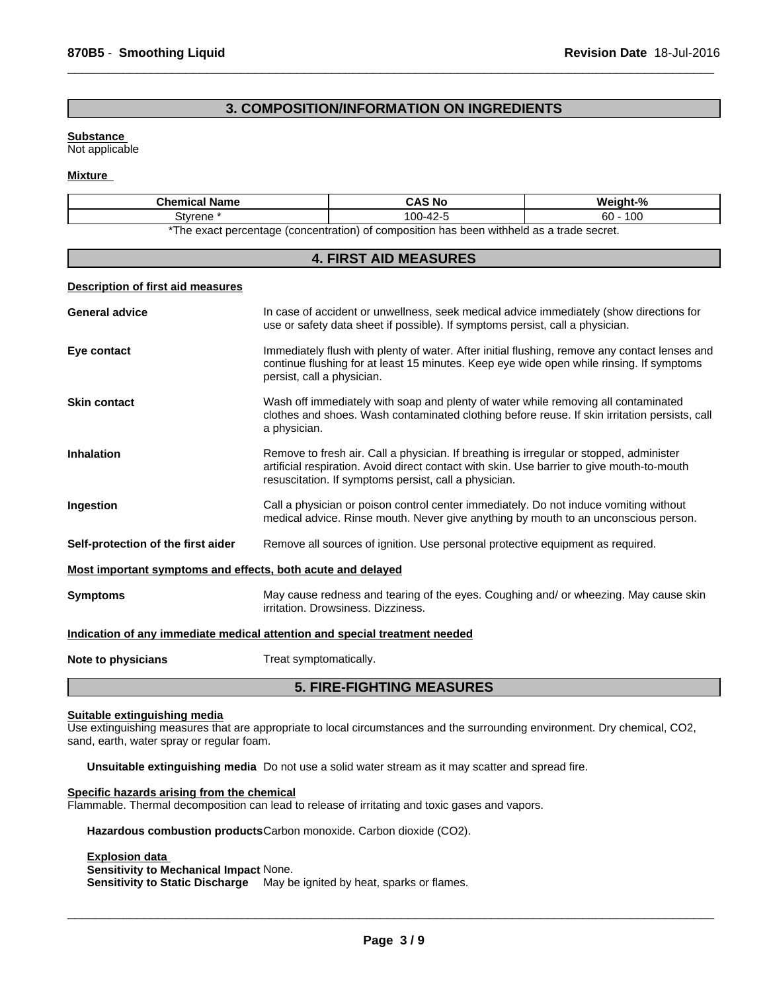# **3. COMPOSITION/INFORMATION ON INGREDIENTS**

 $\overline{\phantom{a}}$  ,  $\overline{\phantom{a}}$  ,  $\overline{\phantom{a}}$  ,  $\overline{\phantom{a}}$  ,  $\overline{\phantom{a}}$  ,  $\overline{\phantom{a}}$  ,  $\overline{\phantom{a}}$  ,  $\overline{\phantom{a}}$  ,  $\overline{\phantom{a}}$  ,  $\overline{\phantom{a}}$  ,  $\overline{\phantom{a}}$  ,  $\overline{\phantom{a}}$  ,  $\overline{\phantom{a}}$  ,  $\overline{\phantom{a}}$  ,  $\overline{\phantom{a}}$  ,  $\overline{\phantom{a}}$ 

#### **Substance**

Not applicable

#### **Mixture**

| <b>Chemical Name</b>                                                                           | <b>CAS No</b>                       | Weight-%  |  |  |
|------------------------------------------------------------------------------------------------|-------------------------------------|-----------|--|--|
| Stvrene                                                                                        | $\sim$ $\sim$<br>۸۵<br>س-∠4⊶"<br>υυ | 100<br>60 |  |  |
| ) of composition has been withheld as a trade secret.<br>*The exact percentage (concentration) |                                     |           |  |  |

| <b>4. FIRST AID MEASURES</b>                                |                                                                                                                                                                                                                                                |  |  |
|-------------------------------------------------------------|------------------------------------------------------------------------------------------------------------------------------------------------------------------------------------------------------------------------------------------------|--|--|
| <b>Description of first aid measures</b>                    |                                                                                                                                                                                                                                                |  |  |
| <b>General advice</b>                                       | In case of accident or unwellness, seek medical advice immediately (show directions for<br>use or safety data sheet if possible). If symptoms persist, call a physician.                                                                       |  |  |
| Eye contact                                                 | Immediately flush with plenty of water. After initial flushing, remove any contact lenses and<br>continue flushing for at least 15 minutes. Keep eye wide open while rinsing. If symptoms<br>persist, call a physician.                        |  |  |
| <b>Skin contact</b>                                         | Wash off immediately with soap and plenty of water while removing all contaminated<br>clothes and shoes. Wash contaminated clothing before reuse. If skin irritation persists, call<br>a physician.                                            |  |  |
| <b>Inhalation</b>                                           | Remove to fresh air. Call a physician. If breathing is irregular or stopped, administer<br>artificial respiration. Avoid direct contact with skin. Use barrier to give mouth-to-mouth<br>resuscitation. If symptoms persist, call a physician. |  |  |
| Ingestion                                                   | Call a physician or poison control center immediately. Do not induce vomiting without<br>medical advice. Rinse mouth. Never give anything by mouth to an unconscious person.                                                                   |  |  |
| Self-protection of the first aider                          | Remove all sources of ignition. Use personal protective equipment as required.                                                                                                                                                                 |  |  |
| Most important symptoms and effects, both acute and delayed |                                                                                                                                                                                                                                                |  |  |
| <b>Symptoms</b>                                             | May cause redness and tearing of the eyes. Coughing and/ or wheezing. May cause skin<br>irritation. Drowsiness. Dizziness.                                                                                                                     |  |  |
|                                                             | Indication of any immediate medical attention and special treatment needed                                                                                                                                                                     |  |  |
| Note to physicians                                          | Treat symptomatically.                                                                                                                                                                                                                         |  |  |

# **5. FIRE-FIGHTING MEASURES**

# **Suitable extinguishing media**

Use extinguishing measures that are appropriate to local circumstances and the surrounding environment. Dry chemical, CO2, sand, earth, water spray or regular foam.

**Unsuitable extinguishing media** Do not use a solid water stream as it may scatter and spread fire.

#### **Specific hazards arising from the chemical** Flammable. Thermal decomposition can lead to release of irritating and toxic gases and vapors.

**Hazardous combustion products**Carbon monoxide. Carbon dioxide (CO2).

#### **Explosion data Sensitivity to Mechanical Impact** None. **Sensitivity to Static Discharge** May be ignited by heat, sparks or flames.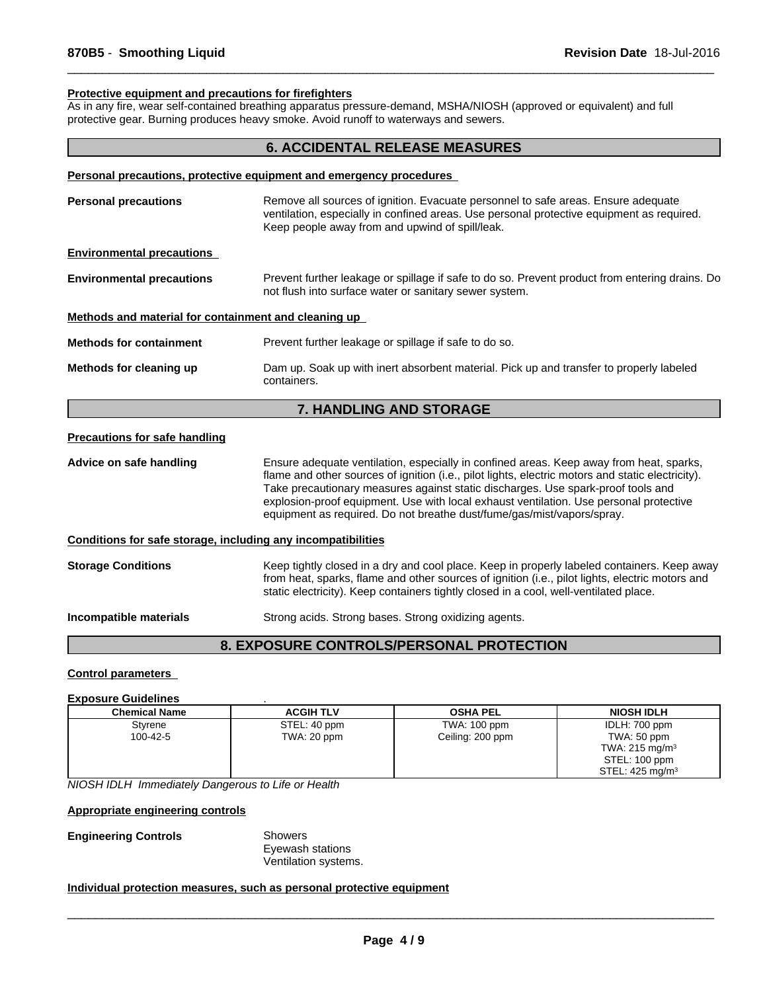#### **Protective equipment and precautions for firefighters**

As in any fire, wear self-contained breathing apparatus pressure-demand, MSHA/NIOSH (approved or equivalent) and full protective gear. Burning produces heavy smoke. Avoid runoff to waterways and sewers.

# **6. ACCIDENTAL RELEASE MEASURES**

 $\overline{\phantom{a}}$  ,  $\overline{\phantom{a}}$  ,  $\overline{\phantom{a}}$  ,  $\overline{\phantom{a}}$  ,  $\overline{\phantom{a}}$  ,  $\overline{\phantom{a}}$  ,  $\overline{\phantom{a}}$  ,  $\overline{\phantom{a}}$  ,  $\overline{\phantom{a}}$  ,  $\overline{\phantom{a}}$  ,  $\overline{\phantom{a}}$  ,  $\overline{\phantom{a}}$  ,  $\overline{\phantom{a}}$  ,  $\overline{\phantom{a}}$  ,  $\overline{\phantom{a}}$  ,  $\overline{\phantom{a}}$ 

|                                                      | Personal precautions, protective equipment and emergency procedures                                                                                                                                                               |
|------------------------------------------------------|-----------------------------------------------------------------------------------------------------------------------------------------------------------------------------------------------------------------------------------|
| <b>Personal precautions</b>                          | Remove all sources of ignition. Evacuate personnel to safe areas. Ensure adequate<br>ventilation, especially in confined areas. Use personal protective equipment as required.<br>Keep people away from and upwind of spill/leak. |
| <b>Environmental precautions</b>                     |                                                                                                                                                                                                                                   |
| <b>Environmental precautions</b>                     | Prevent further leakage or spillage if safe to do so. Prevent product from entering drains. Do<br>not flush into surface water or sanitary sewer system.                                                                          |
| Methods and material for containment and cleaning up |                                                                                                                                                                                                                                   |
| <b>Methods for containment</b>                       | Prevent further leakage or spillage if safe to do so.                                                                                                                                                                             |
| Methods for cleaning up                              | Dam up. Soak up with inert absorbent material. Pick up and transfer to properly labeled<br>containers.                                                                                                                            |

# **7. HANDLING AND STORAGE**

## **Precautions for safe handling**

**Advice on safe handling** Ensure adequate ventilation, especially in confined areas. Keep away from heat, sparks, flame and other sources of ignition (i.e., pilot lights, electric motors and static electricity). Take precautionary measures against static discharges. Use spark-proof tools and explosion-proof equipment. Use with local exhaust ventilation. Use personal protective equipment as required. Do not breathe dust/fume/gas/mist/vapors/spray.

#### **Conditions for safe storage, including any incompatibilities**

**Storage Conditions** Keep tightly closed in a dry and cool place. Keep in properly labeled containers. Keep away from heat, sparks, flame and other sources of ignition (i.e., pilot lights, electric motors and static electricity). Keep containers tightly closed in a cool, well-ventilated place.

**Incompatible materials** Strong acids. Strong bases. Strong oxidizing agents.

# **8. EXPOSURE CONTROLS/PERSONAL PROTECTION**

#### **Control parameters**

# **Exposure Guidelines** .

| Chemical Name | <b>ACGIH TLV</b> | <b>OSHA PEL</b>  | <b>NIOSH IDLH</b>          |
|---------------|------------------|------------------|----------------------------|
| Styrene       | STEL: 40 ppm     | TWA: 100 ppm     | IDLH: 700 ppm              |
| 100-42-5      | TWA: 20 ppm      | Ceiling: 200 ppm | TWA: 50 ppm                |
|               |                  |                  | TWA: $215 \text{ mg/m}^3$  |
|               |                  |                  | STEL: 100 ppm              |
|               |                  |                  | STEL: $425 \text{ mg/m}^3$ |

*NIOSH IDLH Immediately Dangerous to Life or Health*

#### **Appropriate engineering controls**

#### **Engineering Controls** Showers

Eyewash stations Ventilation systems.

# **Individual protection measures, such as personal protective equipment**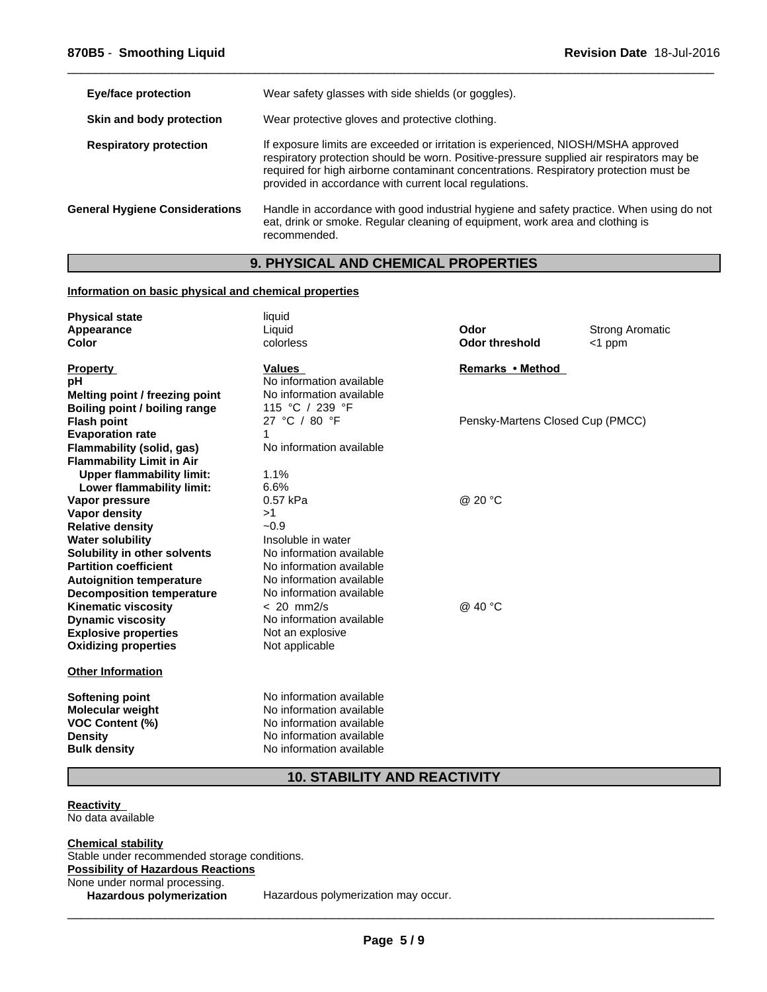| <b>Eye/face protection</b>            | Wear safety glasses with side shields (or goggles).                                                                                                                                                                                                                                                                              |
|---------------------------------------|----------------------------------------------------------------------------------------------------------------------------------------------------------------------------------------------------------------------------------------------------------------------------------------------------------------------------------|
| Skin and body protection              | Wear protective gloves and protective clothing.                                                                                                                                                                                                                                                                                  |
| <b>Respiratory protection</b>         | If exposure limits are exceeded or irritation is experienced, NIOSH/MSHA approved<br>respiratory protection should be worn. Positive-pressure supplied air respirators may be<br>required for high airborne contaminant concentrations. Respiratory protection must be<br>provided in accordance with current local regulations. |
| <b>General Hygiene Considerations</b> | Handle in accordance with good industrial hygiene and safety practice. When using do not<br>eat, drink or smoke. Regular cleaning of equipment, work area and clothing is<br>recommended.                                                                                                                                        |

 $\overline{\phantom{a}}$  ,  $\overline{\phantom{a}}$  ,  $\overline{\phantom{a}}$  ,  $\overline{\phantom{a}}$  ,  $\overline{\phantom{a}}$  ,  $\overline{\phantom{a}}$  ,  $\overline{\phantom{a}}$  ,  $\overline{\phantom{a}}$  ,  $\overline{\phantom{a}}$  ,  $\overline{\phantom{a}}$  ,  $\overline{\phantom{a}}$  ,  $\overline{\phantom{a}}$  ,  $\overline{\phantom{a}}$  ,  $\overline{\phantom{a}}$  ,  $\overline{\phantom{a}}$  ,  $\overline{\phantom{a}}$ 

# **9. PHYSICAL AND CHEMICAL PROPERTIES**

# **Information on basic physical and chemical properties**

| <b>Physical state</b>            | liquid                   |                                  |                        |
|----------------------------------|--------------------------|----------------------------------|------------------------|
| Appearance                       | Liquid                   | Odor                             | <b>Strong Aromatic</b> |
| Color                            | colorless                | <b>Odor threshold</b>            | $<$ 1 ppm              |
| <b>Property</b>                  | <b>Values</b>            | Remarks • Method                 |                        |
| рH                               | No information available |                                  |                        |
| Melting point / freezing point   | No information available |                                  |                        |
| Boiling point / boiling range    | 115 °C / 239 °F          |                                  |                        |
| <b>Flash point</b>               | 27 °C / 80 °F            | Pensky-Martens Closed Cup (PMCC) |                        |
| <b>Evaporation rate</b>          | 1                        |                                  |                        |
| Flammability (solid, gas)        | No information available |                                  |                        |
| <b>Flammability Limit in Air</b> |                          |                                  |                        |
| <b>Upper flammability limit:</b> | 1.1%                     |                                  |                        |
| Lower flammability limit:        | 6.6%                     |                                  |                        |
| Vapor pressure                   | 0.57 kPa                 | @ 20 °C                          |                        |
| Vapor density                    | >1                       |                                  |                        |
| <b>Relative density</b>          | $-0.9$                   |                                  |                        |
| <b>Water solubility</b>          | Insoluble in water       |                                  |                        |
| Solubility in other solvents     | No information available |                                  |                        |
| <b>Partition coefficient</b>     | No information available |                                  |                        |
| <b>Autoignition temperature</b>  | No information available |                                  |                        |
| <b>Decomposition temperature</b> | No information available |                                  |                        |
| <b>Kinematic viscosity</b>       | $< 20$ mm $2/s$          | @ 40 °C                          |                        |
| <b>Dynamic viscosity</b>         | No information available |                                  |                        |
| <b>Explosive properties</b>      | Not an explosive         |                                  |                        |
| <b>Oxidizing properties</b>      | Not applicable           |                                  |                        |
| <b>Other Information</b>         |                          |                                  |                        |
| <b>Softening point</b>           | No information available |                                  |                        |
| <b>Molecular weight</b>          | No information available |                                  |                        |
| <b>VOC Content (%)</b>           | No information available |                                  |                        |
| <b>Density</b>                   | No information available |                                  |                        |
| <b>Bulk density</b>              | No information available |                                  |                        |
|                                  |                          |                                  |                        |

**10. STABILITY AND REACTIVITY**

**Reactivity**  No data available

**Chemical stability** Stable under recommended storage conditions. **Possibility of Hazardous Reactions** None under normal processing.<br>Hazardous polymerization

Hazardous polymerization may occur.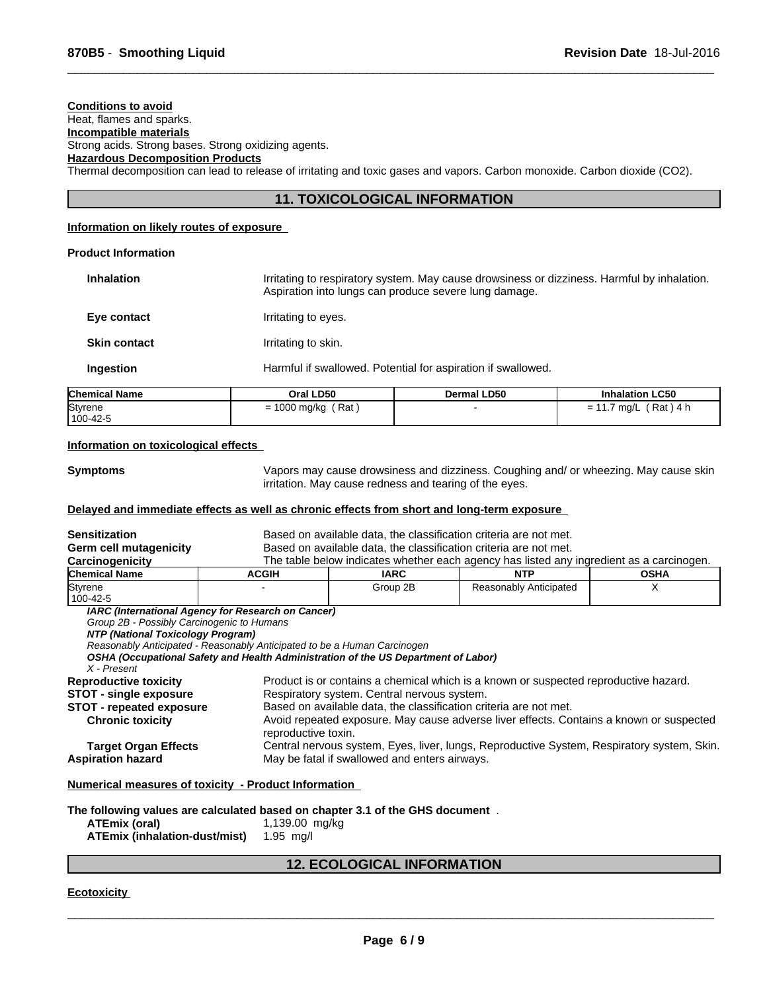# **Conditions to avoid**

# Heat, flames and sparks.

**Incompatible materials** Strong acids. Strong bases. Strong oxidizing agents.

**Hazardous Decomposition Products**

Thermal decomposition can lead to release of irritating and toxic gases and vapors. Carbon monoxide. Carbon dioxide (CO2).

# **11. TOXICOLOGICAL INFORMATION**

 $\overline{\phantom{a}}$  ,  $\overline{\phantom{a}}$  ,  $\overline{\phantom{a}}$  ,  $\overline{\phantom{a}}$  ,  $\overline{\phantom{a}}$  ,  $\overline{\phantom{a}}$  ,  $\overline{\phantom{a}}$  ,  $\overline{\phantom{a}}$  ,  $\overline{\phantom{a}}$  ,  $\overline{\phantom{a}}$  ,  $\overline{\phantom{a}}$  ,  $\overline{\phantom{a}}$  ,  $\overline{\phantom{a}}$  ,  $\overline{\phantom{a}}$  ,  $\overline{\phantom{a}}$  ,  $\overline{\phantom{a}}$ 

# **Information on likely routes of exposure**

# **Product Information**

| Aspiration into lungs can produce severe lung damage.<br>Irritating to eyes.<br>Irritating to skin.<br>Harmful if swallowed. Potential for aspiration if swallowed. | amical Namo         | Oral LD50 | Dermal LD50 | Inhalation LC50 |
|---------------------------------------------------------------------------------------------------------------------------------------------------------------------|---------------------|-----------|-------------|-----------------|
|                                                                                                                                                                     | Ingestion           |           |             |                 |
|                                                                                                                                                                     | <b>Skin contact</b> |           |             |                 |
|                                                                                                                                                                     | Eye contact         |           |             |                 |
| Irritating to respiratory system. May cause drowsiness or dizziness. Harmful by inhalation.                                                                         | <b>Inhalation</b>   |           |             |                 |

| Chemical Name       | Oral LD50                     | Dermal LD50 | <b>Inhalation LC50</b>       |
|---------------------|-------------------------------|-------------|------------------------------|
| Styrene<br>100-42-5 | ' Rat<br>1000 mg/kg<br>-<br>= |             | [Rat )<br>\ 4 h<br>ma/L<br>= |

#### **Information on toxicological effects**

**Symptoms** Vapors may cause drowsiness and dizziness. Coughing and/ or wheezing. May cause skin irritation. May cause redness and tearing of the eyes.

## **Delayed and immediate effects as well as chronic effects from short and long-term exposure**

| <b>Sensitization</b>                                                                           |                                                                                                                                                                                                                      | Based on available data, the classification criteria are not met.                                              |                                                                                            |   |  |  |
|------------------------------------------------------------------------------------------------|----------------------------------------------------------------------------------------------------------------------------------------------------------------------------------------------------------------------|----------------------------------------------------------------------------------------------------------------|--------------------------------------------------------------------------------------------|---|--|--|
| Germ cell mutagenicity                                                                         |                                                                                                                                                                                                                      | Based on available data, the classification criteria are not met.                                              |                                                                                            |   |  |  |
| Carcinogenicity                                                                                |                                                                                                                                                                                                                      | The table below indicates whether each agency has listed any ingredient as a carcinogen.                       |                                                                                            |   |  |  |
| <b>Chemical Name</b>                                                                           | <b>ACGIH</b>                                                                                                                                                                                                         | <b>IARC</b><br><b>NTP</b><br><b>OSHA</b>                                                                       |                                                                                            |   |  |  |
| Styrene<br>100-42-5                                                                            |                                                                                                                                                                                                                      | Group 2B                                                                                                       | Reasonably Anticipated                                                                     | X |  |  |
| Group 2B - Possibly Carcinogenic to Humans<br>NTP (National Toxicology Program)<br>X - Present | IARC (International Agency for Research on Cancer)<br>Reasonably Anticipated - Reasonably Anticipated to be a Human Carcinogen<br>OSHA (Occupational Safety and Health Administration of the US Department of Labor) |                                                                                                                |                                                                                            |   |  |  |
| <b>Reproductive toxicity</b>                                                                   |                                                                                                                                                                                                                      |                                                                                                                | Product is or contains a chemical which is a known or suspected reproductive hazard.       |   |  |  |
| <b>STOT - single exposure</b>                                                                  |                                                                                                                                                                                                                      | Respiratory system. Central nervous system.                                                                    |                                                                                            |   |  |  |
| <b>STOT - repeated exposure</b>                                                                |                                                                                                                                                                                                                      | Based on available data, the classification criteria are not met.                                              |                                                                                            |   |  |  |
| <b>Chronic toxicity</b>                                                                        |                                                                                                                                                                                                                      | Avoid repeated exposure. May cause adverse liver effects. Contains a known or suspected<br>reproductive toxin. |                                                                                            |   |  |  |
| <b>Target Organ Effects</b>                                                                    |                                                                                                                                                                                                                      |                                                                                                                | Central nervous system, Eyes, liver, lungs, Reproductive System, Respiratory system, Skin. |   |  |  |
| <b>Aspiration hazard</b>                                                                       |                                                                                                                                                                                                                      | May be fatal if swallowed and enters airways.                                                                  |                                                                                            |   |  |  |
|                                                                                                | Numerical measures of toxicity - Product Information                                                                                                                                                                 |                                                                                                                |                                                                                            |   |  |  |
| ATEmix (oral)<br>ATEmix (inhalation-dust/mist)                                                 | The following values are calculated based on chapter 3.1 of the GHS document.<br>1,139.00 mg/kg<br>$1.95$ mg/l                                                                                                       |                                                                                                                |                                                                                            |   |  |  |

# **12. ECOLOGICAL INFORMATION**

**Ecotoxicity**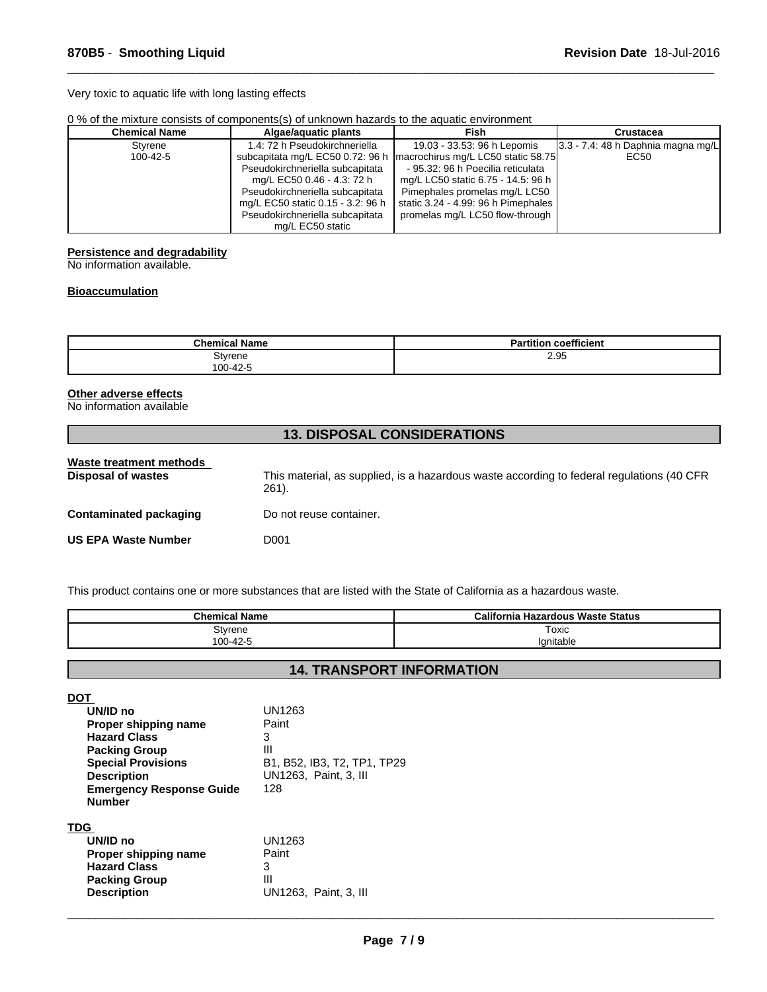Very toxic to aquatic life with long lasting effects

| 0 % of the mixture consists of components(s) of unknown hazards to the aquatic environment |  |  |
|--------------------------------------------------------------------------------------------|--|--|
|                                                                                            |  |  |

| <b>Chemical Name</b> | Algae/aguatic plants              | Fish                                | Crustacea                               |
|----------------------|-----------------------------------|-------------------------------------|-----------------------------------------|
| Styrene              | 1.4: 72 h Pseudokirchneriella     | 19.03 - 33.53: 96 h Lepomis         | $ 3.3 - 7.4 $ : 48 h Daphnia magna mg/L |
| 100-42-5             | subcapitata mg/L EC50 0.72: 96 h  | macrochirus mg/L LC50 static 58.75  | EC50                                    |
|                      | Pseudokirchneriella subcapitata   | - 95.32: 96 h Poecilia reticulata   |                                         |
|                      | mg/L EC50 0.46 - 4.3: 72 h        | mg/L LC50 static 6.75 - 14.5: 96 h  |                                         |
|                      | Pseudokirchneriella subcapitata   | Pimephales promelas mg/L LC50       |                                         |
|                      | mg/L EC50 static 0.15 - 3.2: 96 h | static 3.24 - 4.99: 96 h Pimephales |                                         |
|                      | Pseudokirchneriella subcapitata   | promelas mg/L LC50 flow-through     |                                         |
|                      | mg/L EC50 static                  |                                     |                                         |

 $\overline{\phantom{a}}$  ,  $\overline{\phantom{a}}$  ,  $\overline{\phantom{a}}$  ,  $\overline{\phantom{a}}$  ,  $\overline{\phantom{a}}$  ,  $\overline{\phantom{a}}$  ,  $\overline{\phantom{a}}$  ,  $\overline{\phantom{a}}$  ,  $\overline{\phantom{a}}$  ,  $\overline{\phantom{a}}$  ,  $\overline{\phantom{a}}$  ,  $\overline{\phantom{a}}$  ,  $\overline{\phantom{a}}$  ,  $\overline{\phantom{a}}$  ,  $\overline{\phantom{a}}$  ,  $\overline{\phantom{a}}$ 

# **Persistence and degradability**

No information available.

## **Bioaccumulation**

| <b>Chemical Name</b> | $- - -$<br>n.<br>coefficient |
|----------------------|------------------------------|
| Stvrene<br>100-12-5  | 2.95                         |

# **Other adverse effects**

No information available

# **13. DISPOSAL CONSIDERATIONS**

| Waste treatment methods<br>Disposal of wastes | This material, as supplied, is a hazardous waste according to federal regulations (40 CFR<br>$261$ ). |
|-----------------------------------------------|-------------------------------------------------------------------------------------------------------|
| Contaminated packaging                        | Do not reuse container.                                                                               |
| <b>US EPA Waste Number</b>                    | D001                                                                                                  |

This product contains one or more substances that are listed with the State of California as a hazardous waste.

**UN1263, Paint, 3, III** 

| <b>Chemical Name</b> | <b>California Hazardous Waste Status</b> |
|----------------------|------------------------------------------|
| Stvrene              | Toxic                                    |
| 100-42-5             | lanıtable                                |

# **14. TRANSPORT INFORMATION**

**DOT** 

**Packing Group**<br>Description

| UN/ID no<br>Proper shipping name<br><b>Hazard Class</b><br><b>Packing Group</b><br><b>Special Provisions</b><br><b>Description</b><br><b>Emergency Response Guide</b><br><b>Number</b> | UN1263<br>Paint<br>3<br>Ш<br>B1, B52, IB3, T2, TP1, TP29<br>UN1263, Paint, 3, III<br>128 |
|----------------------------------------------------------------------------------------------------------------------------------------------------------------------------------------|------------------------------------------------------------------------------------------|
| TDG                                                                                                                                                                                    |                                                                                          |
| UN/ID no                                                                                                                                                                               | UN1263                                                                                   |
| Proper shipping name                                                                                                                                                                   | Paint                                                                                    |
| <b>Hazard Class</b>                                                                                                                                                                    | 3                                                                                        |
| <b>Packing Group</b>                                                                                                                                                                   | Ш                                                                                        |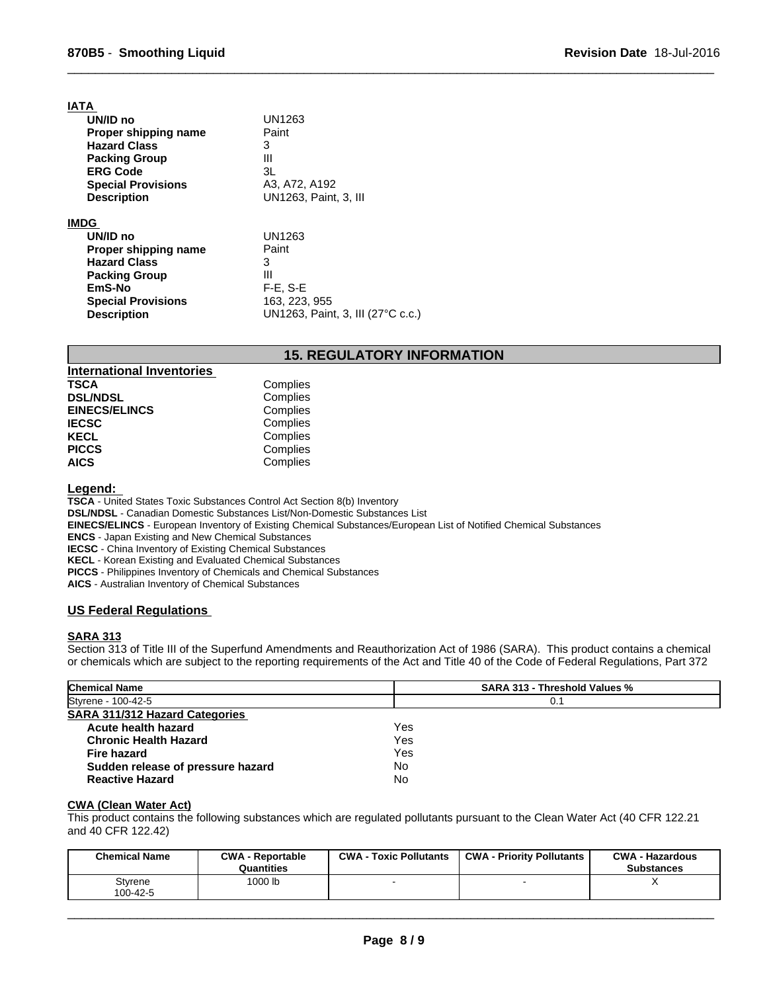| IATA                      |                                   |
|---------------------------|-----------------------------------|
| UN/ID no                  | UN1263                            |
| Proper shipping name      | Paint                             |
| <b>Hazard Class</b>       | 3                                 |
| <b>Packing Group</b>      | Ш                                 |
| <b>ERG Code</b>           | 3L                                |
| <b>Special Provisions</b> | A3, A72, A192                     |
| <b>Description</b>        | UN1263, Paint, 3, III             |
| IMDG                      |                                   |
| UN/ID no                  | UN1263                            |
| Proper shipping name      | Paint                             |
| <b>Hazard Class</b>       | 3                                 |
| <b>Packing Group</b>      | Ш                                 |
| EmS-No                    | $F-E$ , $S-E$                     |
| <b>Special Provisions</b> | 163, 223, 955                     |
| <b>Description</b>        | UN1263, Paint, 3, III (27°C c.c.) |

# **15. REGULATORY INFORMATION**

 $\overline{\phantom{a}}$  ,  $\overline{\phantom{a}}$  ,  $\overline{\phantom{a}}$  ,  $\overline{\phantom{a}}$  ,  $\overline{\phantom{a}}$  ,  $\overline{\phantom{a}}$  ,  $\overline{\phantom{a}}$  ,  $\overline{\phantom{a}}$  ,  $\overline{\phantom{a}}$  ,  $\overline{\phantom{a}}$  ,  $\overline{\phantom{a}}$  ,  $\overline{\phantom{a}}$  ,  $\overline{\phantom{a}}$  ,  $\overline{\phantom{a}}$  ,  $\overline{\phantom{a}}$  ,  $\overline{\phantom{a}}$ 

| <b>International Inventories</b> |          |
|----------------------------------|----------|
| <b>TSCA</b>                      | Complies |
| <b>DSL/NDSL</b>                  | Complies |
| <b>EINECS/ELINCS</b>             | Complies |
| <b>IECSC</b>                     | Complies |
| <b>KECL</b>                      | Complies |
| <b>PICCS</b>                     | Complies |
| <b>AICS</b>                      | Complies |

**Legend:** 

**TSCA** - United States Toxic Substances Control Act Section 8(b) Inventory **DSL/NDSL** - Canadian Domestic Substances List/Non-Domestic Substances List **EINECS/ELINCS** - European Inventory of Existing Chemical Substances/European List of Notified Chemical Substances **ENCS** - Japan Existing and New Chemical Substances **IECSC** - China Inventory of Existing Chemical Substances **KECL** - Korean Existing and Evaluated Chemical Substances **PICCS** - Philippines Inventory of Chemicals and Chemical Substances **AICS** - Australian Inventory of Chemical Substances

# **US Federal Regulations**

## **SARA 313**

Section 313 of Title III of the Superfund Amendments and Reauthorization Act of 1986 (SARA). This product contains a chemical or chemicals which are subject to the reporting requirements of the Act and Title 40 of the Code of Federal Regulations, Part 372

| <b>Chemical Name</b>                  | <b>SARA 313 - Threshold Values %</b> |  |
|---------------------------------------|--------------------------------------|--|
| Styrene - 100-42-5                    | 0.1                                  |  |
| <b>SARA 311/312 Hazard Categories</b> |                                      |  |
| Acute health hazard                   | Yes                                  |  |
| <b>Chronic Health Hazard</b>          | Yes                                  |  |
| <b>Fire hazard</b>                    | Yes                                  |  |
| Sudden release of pressure hazard     | No                                   |  |
| <b>Reactive Hazard</b>                | No                                   |  |

# **CWA (Clean Water Act)**

This product contains the following substances which are regulated pollutants pursuant to the Clean Water Act (40 CFR 122.21 and 40 CFR 122.42)

| <b>Chemical Name</b> | <b>CWA - Reportable</b><br>Quantities | $CWA -$<br><b>Toxic Pollutants</b> | <b>CWA - Priority Pollutants</b> | <b>CWA - Hazardous</b><br><b>Substances</b> |
|----------------------|---------------------------------------|------------------------------------|----------------------------------|---------------------------------------------|
| Stvrene<br>100-42-5  | 1000 lb                               |                                    |                                  |                                             |